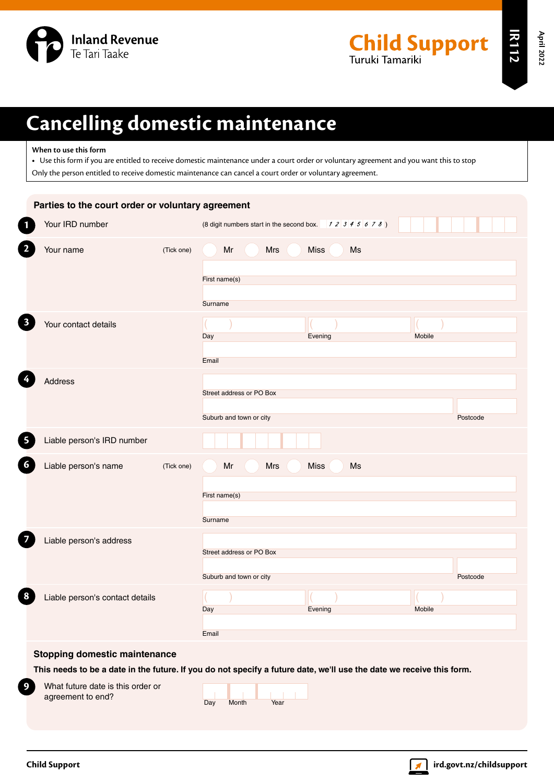

**IR112**

# **Cancelling domestic maintenance**

## **When to use this form**

**•** Use this form if you are entitled to receive domestic maintenance under a court order or voluntary agreement and you want this to stop Only the person entitled to receive domestic maintenance can cancel a court order or voluntary agreement.

| Parties to the court order or voluntary agreement                                                                    |                                                            |          |
|----------------------------------------------------------------------------------------------------------------------|------------------------------------------------------------|----------|
| Your IRD number                                                                                                      | (8 digit numbers start in the second box. $12345678$ )     |          |
| $\mathbf{2}$<br>Your name<br>(Tick one)                                                                              | <b>Miss</b><br>Ms<br>Mr<br>Mrs<br>First name(s)<br>Surname |          |
| Your contact details                                                                                                 | Evening<br>Day<br>Email                                    | Mobile   |
| Address                                                                                                              | Street address or PO Box<br>Suburb and town or city        | Postcode |
| 5<br>Liable person's IRD number                                                                                      |                                                            |          |
| $\boldsymbol{6}$<br>Liable person's name<br>(Tick one)                                                               | Mrs<br><b>Miss</b><br>Mr<br>Ms<br>First name(s)<br>Surname |          |
| Liable person's address                                                                                              | Street address or PO Box<br>Suburb and town or city        | Postcode |
| 8<br>Liable person's contact details                                                                                 | Evening<br>Day<br>Email                                    | Mobile   |
| <b>Stopping domestic maintenance</b>                                                                                 |                                                            |          |
| This needs to be a date in the future. If you do not specify a future date, we'll use the date we receive this form. |                                                            |          |
| $\boldsymbol{9}$<br>What future date is this order or<br>agreement to end?                                           | Month<br>Day<br>Year                                       |          |